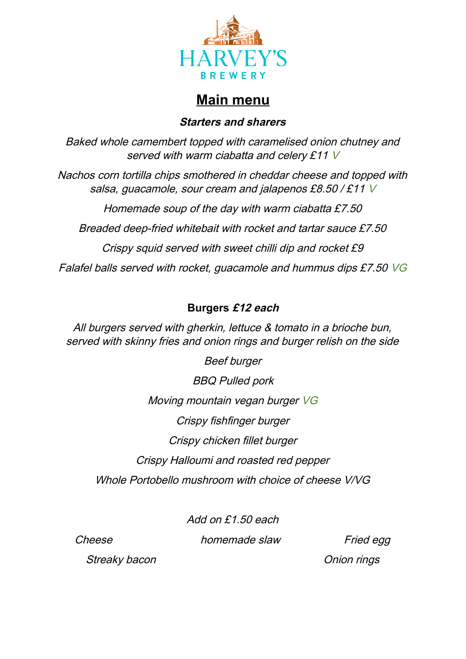

# **Main menu**

### **Starters and sharers**

Baked whole camembert topped with caramelised onion chutney and served with warm ciabatta and celery £11 V

Nachos corn tortilla chips smothered in cheddar cheese and topped with salsa, guacamole, sour cream and jalapenos £8.50 / £11 V

Homemade soup of the day with warm ciabatta £7.50 Breaded deep-fried whitebait with rocket and tartar sauce £7.50 Crispy squid served with sweet chilli dip and rocket £9 Falafel balls served with rocket, guacamole and hummus dips £7.50 VG

## **Burgers £12 each**

All burgers served with gherkin, lettuce & tomato in a brioche bun, served with skinny fries and onion rings and burger relish on the side

Beef burger BBQ Pulled pork Moving mountain vegan burger VG Crispy fishfinger burger Crispy chicken fillet burger Crispy Halloumi and roasted red pepper Whole Portobello mushroom with choice of cheese V/VG

Add on £1.50 each

Cheese **homemade slaw** Fried egg

Streaky bacon **Onion** contains the contact of the contact of the contact of the contact of the contact of the contact of the contact of the contact of the contact of the contact of the contact of the contact of the contact